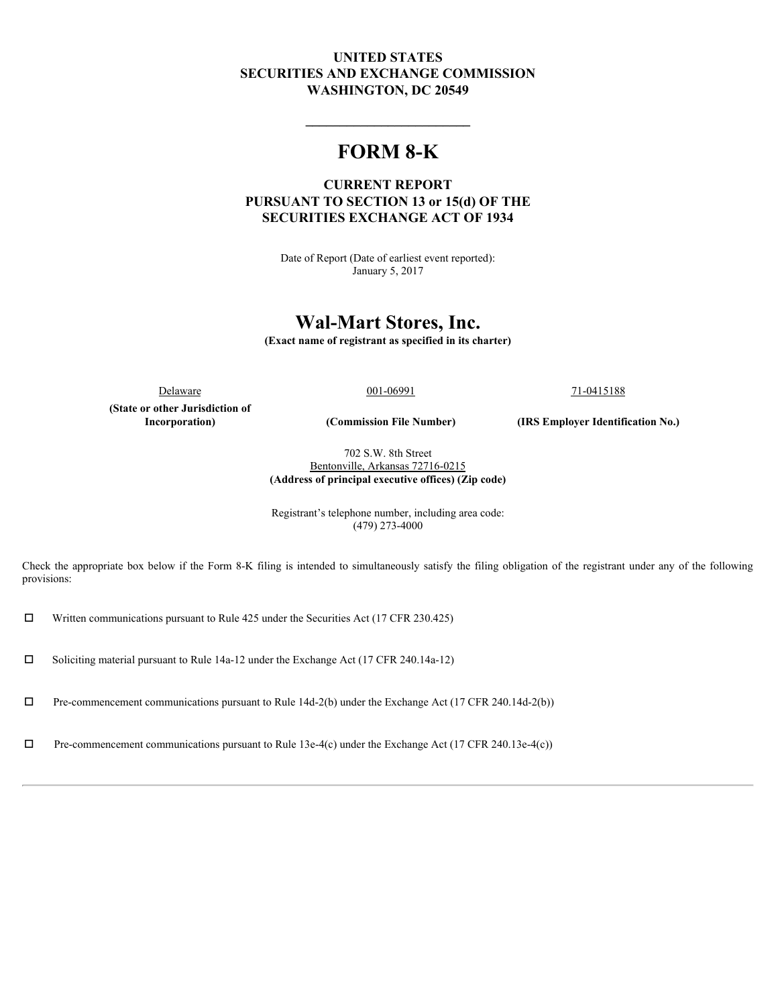# **UNITED STATES SECURITIES AND EXCHANGE COMMISSION WASHINGTON, DC 20549**

# **FORM 8-K**

## **CURRENT REPORT PURSUANT TO SECTION 13 or 15(d) OF THE SECURITIES EXCHANGE ACT OF 1934**

Date of Report (Date of earliest event reported): January 5, 2017

# **Wal-Mart Stores, Inc.**

**(Exact name of registrant as specified in its charter)**

**(State or other Jurisdiction of**

 $D$ elaware  $001-06991$   $71-0415188$ 

**\_\_\_\_\_\_\_\_\_\_\_\_\_\_\_\_\_\_\_\_\_\_\_\_**

**Incorporation) (Commission File Number) (IRS Employer Identification No.)**

702 S.W. 8th Street Bentonville, Arkansas 72716-0215 **(Address of principal executive offices) (Zip code)**

Registrant's telephone number, including area code: (479) 273-4000

Check the appropriate box below if the Form 8-K filing is intended to simultaneously satisfy the filing obligation of the registrant under any of the following provisions:

 $\square$  Written communications pursuant to Rule 425 under the Securities Act (17 CFR 230.425)

 $\Box$  Soliciting material pursuant to Rule 14a-12 under the Exchange Act (17 CFR 240.14a-12)

 $\Box$  Pre-commencement communications pursuant to Rule 14d-2(b) under the Exchange Act (17 CFR 240.14d-2(b))

 $\Box$  Pre-commencement communications pursuant to Rule 13e-4(c) under the Exchange Act (17 CFR 240.13e-4(c))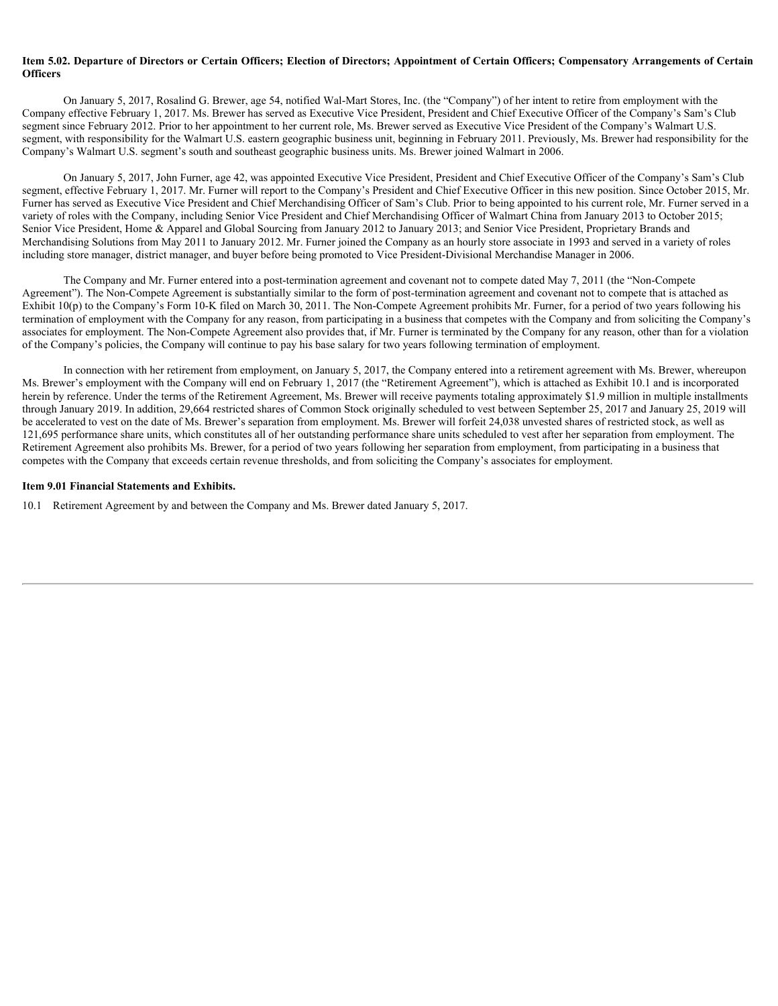#### **Item 5.02. Departure of Directors or Certain Officers; Election of Directors; Appointment of Certain Officers; Compensatory Arrangements of Certain Officers**

On January 5, 2017, Rosalind G. Brewer, age 54, notified Wal-Mart Stores, Inc. (the "Company") of her intent to retire from employment with the Company effective February 1, 2017. Ms. Brewer has served as Executive Vice President, President and Chief Executive Officer of the Company's Sam's Club segment since February 2012. Prior to her appointment to her current role, Ms. Brewer served as Executive Vice President of the Company's Walmart U.S. segment, with responsibility for the Walmart U.S. eastern geographic business unit, beginning in February 2011. Previously, Ms. Brewer had responsibility for the Company's Walmart U.S. segment's south and southeast geographic business units. Ms. Brewer joined Walmart in 2006.

On January 5, 2017, John Furner, age 42, was appointed Executive Vice President, President and Chief Executive Officer of the Company's Sam's Club segment, effective February 1, 2017. Mr. Furner will report to the Company's President and Chief Executive Officer in this new position. Since October 2015, Mr. Furner has served as Executive Vice President and Chief Merchandising Officer of Sam's Club. Prior to being appointed to his current role, Mr. Furner served in a variety of roles with the Company, including Senior Vice President and Chief Merchandising Officer of Walmart China from January 2013 to October 2015; Senior Vice President, Home & Apparel and Global Sourcing from January 2012 to January 2013; and Senior Vice President, Proprietary Brands and Merchandising Solutions from May 2011 to January 2012. Mr. Furner joined the Company as an hourly store associate in 1993 and served in a variety of roles including store manager, district manager, and buyer before being promoted to Vice President-Divisional Merchandise Manager in 2006.

The Company and Mr. Furner entered into a post-termination agreement and covenant not to compete dated May 7, 2011 (the "Non-Compete Agreement"). The Non-Compete Agreement is substantially similar to the form of post-termination agreement and covenant not to compete that is attached as Exhibit 10(p) to the Company's Form 10-K filed on March 30, 2011. The Non-Compete Agreement prohibits Mr. Furner, for a period of two years following his termination of employment with the Company for any reason, from participating in a business that competes with the Company and from soliciting the Company's associates for employment. The Non-Compete Agreement also provides that, if Mr. Furner is terminated by the Company for any reason, other than for a violation of the Company's policies, the Company will continue to pay his base salary for two years following termination of employment.

In connection with her retirement from employment, on January 5, 2017, the Company entered into a retirement agreement with Ms. Brewer, whereupon Ms. Brewer's employment with the Company will end on February 1, 2017 (the "Retirement Agreement"), which is attached as Exhibit 10.1 and is incorporated herein by reference. Under the terms of the Retirement Agreement, Ms. Brewer will receive payments totaling approximately \$1.9 million in multiple installments through January 2019. In addition, 29,664 restricted shares of Common Stock originally scheduled to vest between September 25, 2017 and January 25, 2019 will be accelerated to vest on the date of Ms. Brewer's separation from employment. Ms. Brewer will forfeit 24,038 unvested shares of restricted stock, as well as 121,695 performance share units, which constitutes all of her outstanding performance share units scheduled to vest after her separation from employment. The Retirement Agreement also prohibits Ms. Brewer, for a period of two years following her separation from employment, from participating in a business that competes with the Company that exceeds certain revenue thresholds, and from soliciting the Company's associates for employment.

#### **Item 9.01 Financial Statements and Exhibits.**

10.1 Retirement Agreement by and between the Company and Ms. Brewer dated January 5, 2017.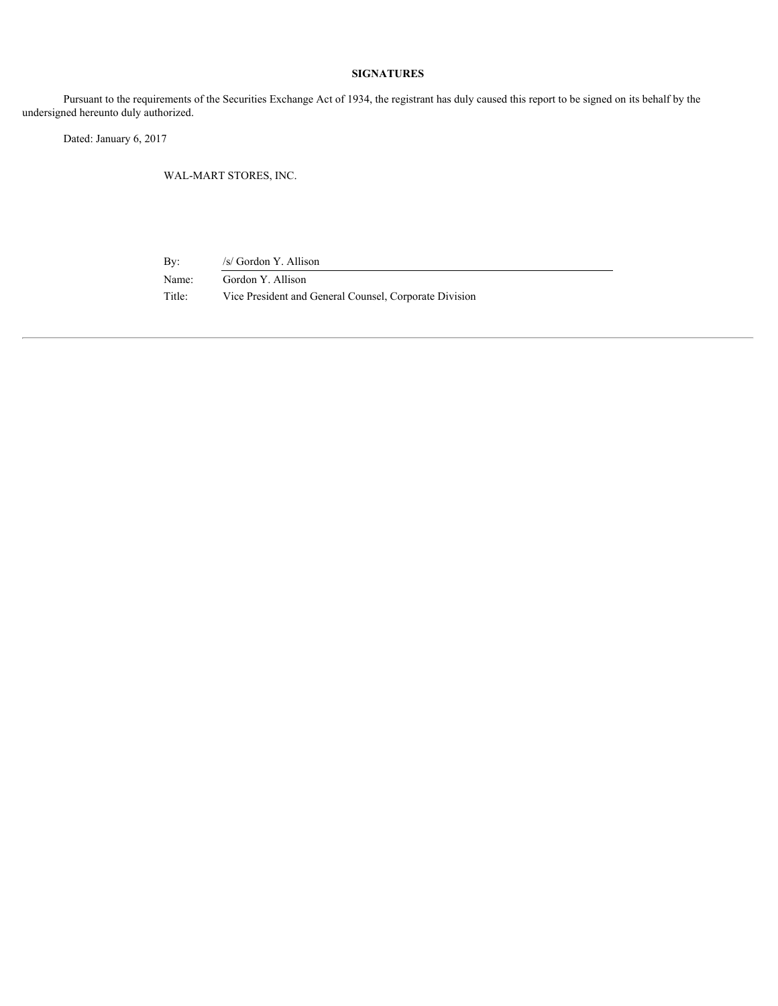### **SIGNATURES**

Pursuant to the requirements of the Securities Exchange Act of 1934, the registrant has duly caused this report to be signed on its behalf by the undersigned hereunto duly authorized.

Dated: January 6, 2017

WAL-MART STORES, INC.

By: /s/ Gordon Y. Allison Name: Gordon Y. Allison Title: Vice President and General Counsel, Corporate Division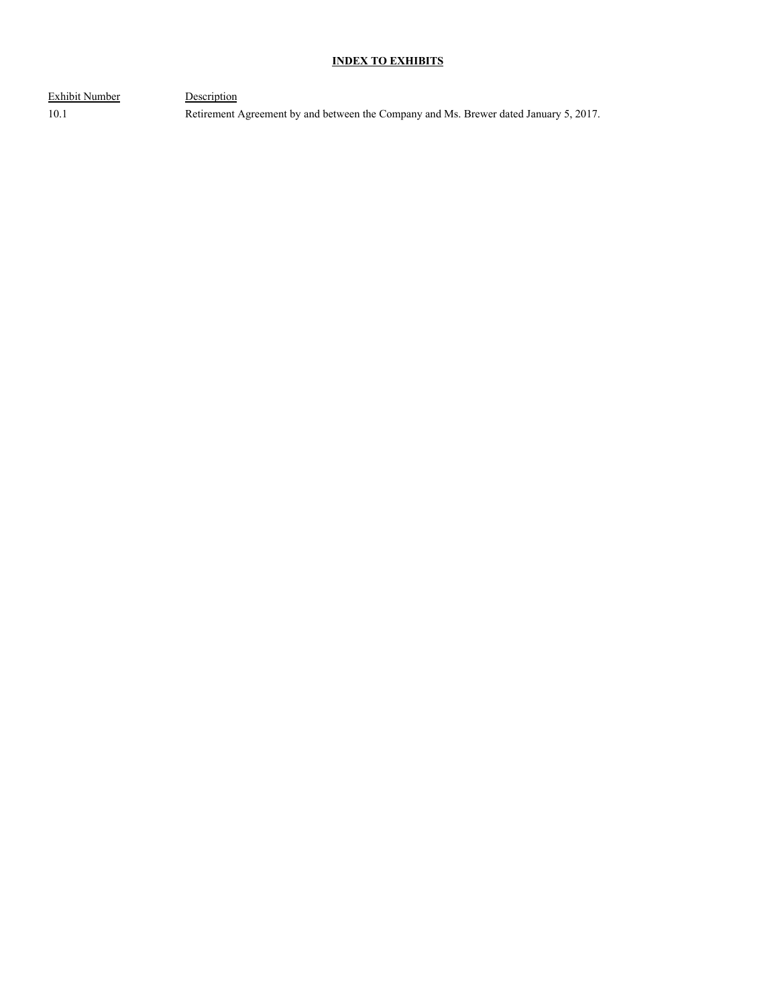## **INDEX TO EXHIBITS**

Exhibit Number Description

10.1 Retirement Agreement by and between the Company and Ms. Brewer dated January 5, 2017.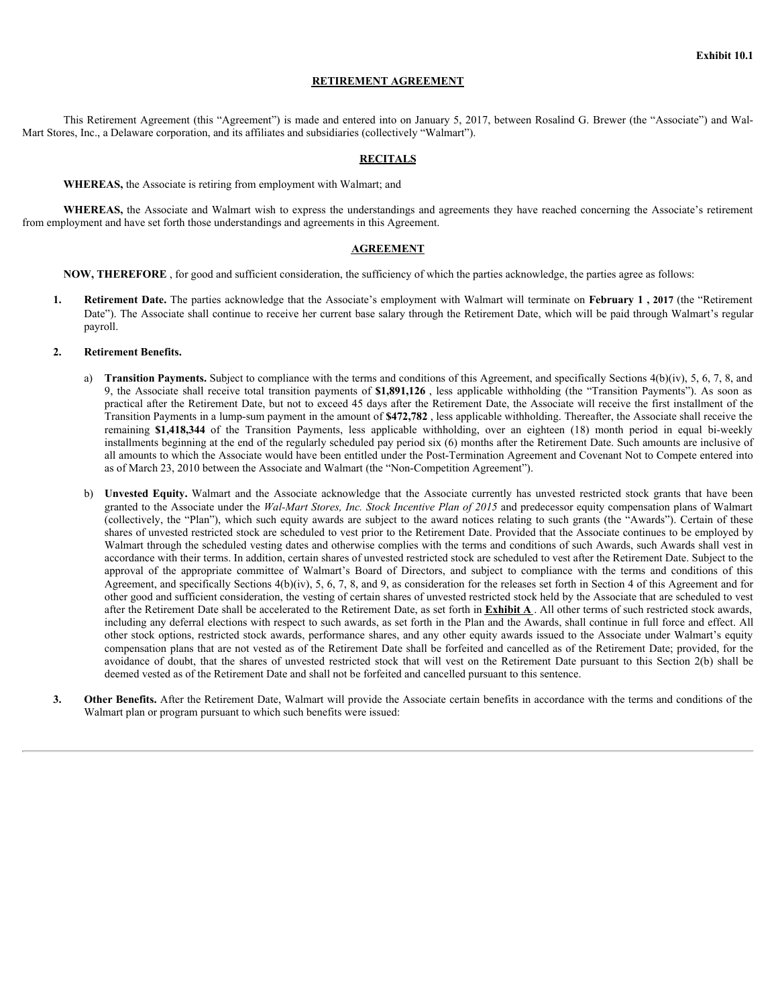#### **RETIREMENT AGREEMENT**

This Retirement Agreement (this "Agreement") is made and entered into on January 5, 2017, between Rosalind G. Brewer (the "Associate") and Wal-Mart Stores, Inc., a Delaware corporation, and its affiliates and subsidiaries (collectively "Walmart").

#### **RECITALS**

**WHEREAS,** the Associate is retiring from employment with Walmart; and

WHEREAS, the Associate and Walmart wish to express the understandings and agreements they have reached concerning the Associate's retirement from employment and have set forth those understandings and agreements in this Agreement.

#### **AGREEMENT**

**NOW, THEREFORE** , for good and sufficient consideration, the sufficiency of which the parties acknowledge, the parties agree as follows:

**1. Retirement Date.** The parties acknowledge that the Associate's employment with Walmart will terminate on **February 1 , 2017** (the "Retirement Date"). The Associate shall continue to receive her current base salary through the Retirement Date, which will be paid through Walmart's regular payroll.

#### **2. Retirement Benefits.**

- a) **Transition Payments.** Subject to compliance with the terms and conditions of this Agreement, and specifically Sections 4(b)(iv), 5, 6, 7, 8, and 9, the Associate shall receive total transition payments of \$1,891,126, l **EXHIMENT AGREEMENT**<br> **EXHIMENT AGREEMENT**<br> **EXHIMENT AGREEMENT**<br> **EXHIMENT AGREEMENT**<br> **EXHIMENT AGREEMENT**<br> **EXHIMENT AGREEMENT AGREEMENT**<br> **ASS**, the Associate is retiring from employment with Walmart's and agreements t practical after the Retirement Date, but not to exceed 45 days after the Retirement Date, the Associate will receive the first installment of the Transition Payments in a lump-sum payment in the amount of **\$472,782** , less applicable withholding. Thereafter, the Associate shall receive the **EXERCHE ASSEEMENT AGREEMENT**<br> **SECTIMENT ACCONST ASSEEMENT**<br> **EXERCISE ASSEEMENT ASSEEMENT**<br> **EXERCISE ASSEEMENT**<br> **ASSEEMENT ASSEEMENT**<br> **ASSEEMENT ASSEEMENT ASSEEMENT**<br> **ASSEEMENT ASSEEMENT ASSEEMENT**<br> **ASSEEMENT ASSEEM** installments beginning at the end of the regularly scheduled pay period six (6) months after the Retirement Date. Such amounts are inclusive of all amounts to which the Associate would have been entitled under the Post-Termination Agreement and Covenant Not to Compete entered into as of March 23, 2010 between the Associate and Walmart (the "Non-Competition Agreement").
- **BETTHEN MENT AGENEEM MENT AGENEEM INTERNATIVE ASSOCIATE ACCOUNT AND TRIME ASSOCIATE ACCOUNT AND ARREST AND A STANDAPTED AND ARREST AND A STANDAPTED AND A STANDAPTED AND A STANDAPTED AND TRIVIAL CONSIDER THE SERVICE STANDA** granted to the Associate under the *Wal-Mart Stores, Inc. Stock Incentive Plan of 2015* and predecessor equity compensation plans of Walmart (collectively, the "Plan"), which such equity awards are subject to the award notices relating to such grants (the "Awards"). Certain of these shares of unvested restricted stock are scheduled to vest prior to the Retirement Date. Provided that the Associate continues to be employed by Walmart through the scheduled vesting dates and otherwise complies with the terms and conditions of such Awards, such Awards shall vest in accordance with their terms. In addition, certain shares of unvested restricted stock are scheduled to vest after the Retirement Date. Subject to the approval of the approval of the approval of the series committee of Walm AS the Associate is retiring from employment with Valmart.<br>
AS the Associate's retiremental and Mahmur with the express the understandings and agreements they have reuched conserting the Associate's retiremental<br>
and NAS Agreement, and specifically Sections 4(b)(iv), 5, 6, 7, 8, and 9, as consideration for the releases set forth in Section 4 of this Agreement and for other good and sufficient consideration, the vesting of certain shares of unvested restricted stock held by the Associate that are scheduled to vest after the Retirement Date shall be accelerated to the Retirement Date, as set forth in **Exhibit A** . All other terms of such restricted stock awards, including any deferral elections with respect to such awards, as set forth in the Plan and the Awards, shall continue in full force and effect. All other stock options, restricted stock awards, performance shares, and any other equity awards issued to the Associate under Walmart's equity compensation plans that are not vested as of the Retirement Date shall be forfeited and cancelled as of the Retirement Date; provided, for the **EXORUMENT MENTATIVEST**<br> **EXCREMENT CONSULTER CONSULTER CONSULTER CONSULTER CONSULTER CONSULTER CONSULTER CONSULTER CONSULTER CONSULTER CONSULTER CONSULTER CONSULTER CONSULTER CONSULTER CONSULTER CONSULTER CONSULTER CONSU** deemed vested as of the Retirement Date and shall not be forfeited and cancelled pursuant to this sentence.
- **3. Other Benefits.** After the Retirement Date, Walmart will provide the Associate certain benefits in accordance with the terms and conditions of the Walmart plan or program pursuant to which such benefits were issued: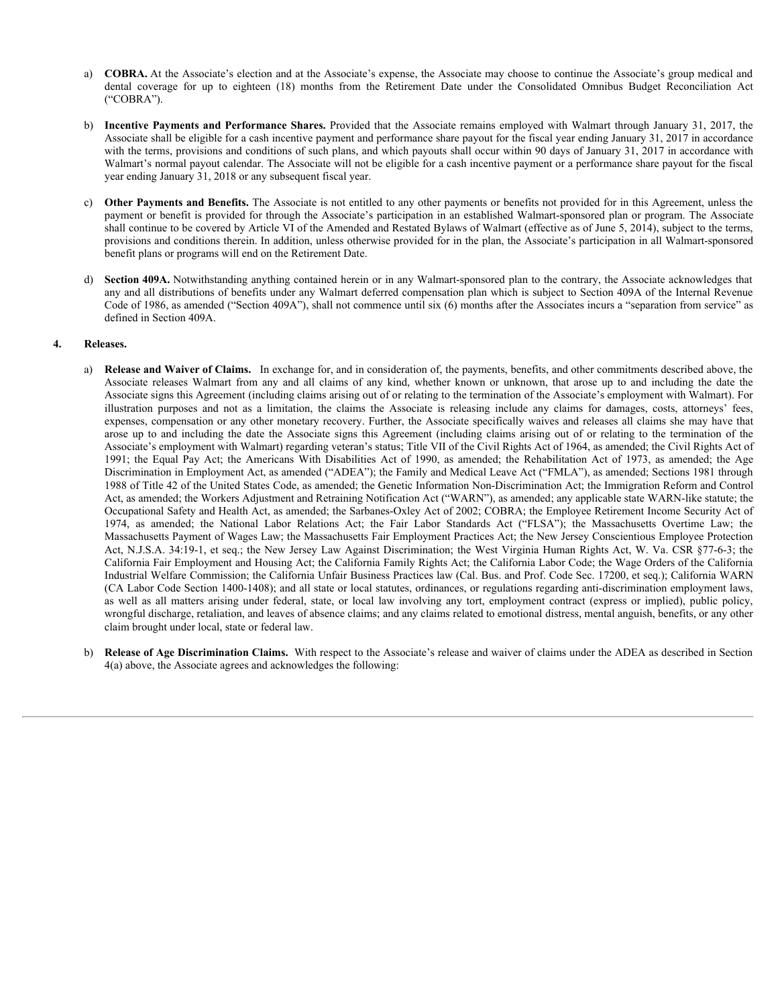- a) **COBRA.** At the Associate's election and at the Associate's expense, the Associate may choose to continue the Associate's group medical and ("COBRA").
- **COBRA.** At the Associate's election and at the Associate's expense, the Associate may choose to continue the Associate's group medical and dental coverage for up to eighteen (18) months from the Retirement Date under the b) **Incentive Payments and Performance Shares.** Provided that the Associate remains employed with Walmart through January 31, 2017, the Associate shall be eligible for a cash incentive payment and performance share payout for the fiscal year ending January 31, 2017 in accordance with the terms, provisions and conditions of such plans, and which payouts shall occur within 90 days of January 31, 2017 in accordance with Walmart's normal payout calendar. The Associate will not be eligible for a cash incentive payment or a performance share payout for the fiscal year ending January 31, 2018 or any subsequent fiscal year.
- c) **Other Payments and Benefits.** The Associate is not entitled to any other payments or benefits not provided for in this Agreement, unless the payment or benefit is provided for through the Associate's participation in an established Walmart-sponsored plan or program. The Associate shall continue to be covered by Article VI of the Amended and Restated Bylaws of Walmart (effective as of June 5, 2014), subject to the terms, provisions and conditions therein. In addition, unless otherwise provided for in the plan, the Associate's participation in all Walmart-sponsored benefit plans or programs will end on the Retirement Date.
- d) **Section 409A.** Notwithstanding anything contained herein or in any Walmart-sponsored plan to the contrary, the Associate acknowledges that any and all distributions of benefits under any Walmart deferred compensation plan which is subject to Section 409A of the Internal Revenue Code of 1986, as amended ("Section 409A"), shall not commence until six (6) months after the Associates incurs a "separation from service" as defined in Section 409A.

### **4. Releases.**

- a) Release and Waiver of Claims. In exchange for, and in consideration of, the payments, benefits, and other commitments described above, the **CORRA**. At the Associate's election and at the Associate's expense, the Associate may choose to continue the Associate's goog medicial and decided any clean and performance Shares. Provided that the accounts remains empl Associate signs this Agreement (including claims arising out of or relating to the termination of the Associate's employment with Walmart). For **iCOBKA.** At the Associate's electron and all the Associate's expense, the Associate may choose to continue the Associate's proup medical model<br>contacts.<br> **CCOBKA<sup>T</sup>** ContaCts and the release of the formulation and the for expenses, compensation or any other monetary recovery. Further, the Associate specifically waives and releases all claims she may have that **COHIA** A.11 the Associate's election and at the Associate's experies, the Associate range to constitute the Associate COMIC (COHIA) and the Constitution of the Second including the constitution of the COMIC (COHIA) and co Associate's employment with Walmart) regarding veteran's status; Title VII of the Civil Rights Act of 1964, as amended; the Civil Rights Act of 1991; the Equal Pay Act; the Americans With Disabilities Act of 1990, as amend COBINA. At the Associat's electron and at the Associate's expense, the Associate may choose to continue the Associates Pay Bay Bay Act (COBIA):<br>
CCOBIA):<br>
CCOBINATION TO response and Performance Shares. Provided that the a Discrimination in Employment Act, as amended ("ADEA"); the Family and Medical Leave Act ("FMLA"), as amended; Sections 1981 through 1988 of Title 42 of the United States Code, as amended; the Genetic Information Non-Discrimination Act; the Immigration Reform and Control Act, as amended; the Workers Adjustment and Retraining Notification Act ("WARN"), as amended; any applicable state WARN-like statute; the Occupational Safety and Health Act, as amended; the Sarbanes-Oxley Act of 2002; COBRA; the Employee Retirement Income Security Act of 1974, the entire physical water Performance Shares, Provided Itsi the Associate remains employed with Variant Integrets and Act Associates Actions Act; Nations Actual Variant Particular Standards Act in California Constrat Massachusetts Payment of Wages Law; the Massachusetts Fair Employment Practices Act; the New Jersey Conscientious Employee Protection Act, N.J.S.A. 34:19-1, et seq.; the New Jersey Law Against Discrimination; the West Virginia Human Rights Act, W. Va. CSR §77-6-3; the California Fair Employment and Housing Act; the California Family Rights Act; the California Labor Code; the Wage Orders of the California Industrial Welfare Commission; the California Unfair Business Practices law (Cal. Bus. and Prof. Code Sec. 17200, et seq.); California WARN (CA Labor Code Section 1400-1408); and all state or local statutes, ordinances, or regulations regarding anti-discrimination employment laws, Other Payments and Henelits, the Associate is real estatid to any ather payments or localities in a modulation in a established Waltern-sponsored to be the solicity of the contract is provided by the theoretic in the solic wrongful discharge, retaliation, and leaves of absence claims; and any claims related to emotional distress, mental anguish, benefits, or any other claim brought under local, state or federal law.
- b) **Release of Age Discrimination Claims.** With respect to the Associate's release and waiver of claims under the ADEA as described in Section 4(a) above, the Associate agrees and acknowledges the following: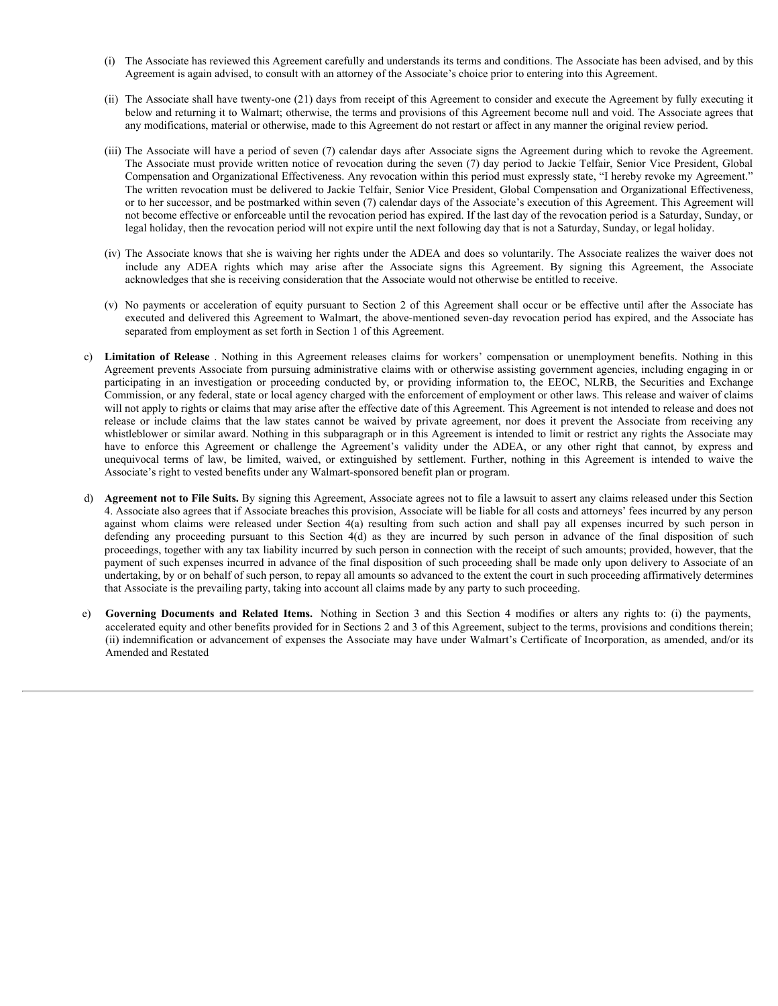- (i) The Associate has reviewed this Agreement carefully and understands its terms and conditions. The Associate has been advised, and by this Agreement is again advised, to consult with an attorney of the Associate's choice prior to entering into this Agreement.
- (ii) The Associate shall have twenty-one (21) days from receipt of this Agreement to consider and execute the Agreement by fully executing it below and returning it to Walmart; otherwise, the terms and provisions of this Agreement become null and void. The Associate agrees that any modifications, material or otherwise, made to this Agreement do not restart or affect in any manner the original review period.
- (iii) The Associate will have a period of seven (7) calendar days after Associate signs the Agreement during which to revoke the Agreement. The Associate must provide written notice of revocation during the seven (7) day period to Jackie Telfair, Senior Vice President, Global Compensation and Organizational Effectiveness. Any revocation within this period must expressly state, "I hereby revoke my Agreement." The written revocation must be delivered to Jackie Telfair, Senior Vice President, Global Compensation and Organizational Effectiveness, or to her successor, and be postmarked within seven (7) calendar days of the Associate's execution of this Agreement. This Agreement will not become effective or enforceable until the revocation period has expired. If the last day of the revocation period is a Saturday, Sunday, or legal holiday, then the revocation period will not expire until the next following day that is not a Saturday, Sunday, or legal holiday. The Associate has reviewed this Agreement carefully and understands its terms and conditions. The Associate has been advised, and by this Agreement is again advised, to consult with an attomey of the Associate's choice pri (i) The Associate has reviewed this Agreement carefully and understands its terms and conditions. The Associate has been advised, and by this Agreement is again advised, to consult with an attorney of the Associate's choi
- (iv) The Associate knows that she is waiving her rights under the ADEA and does so voluntarily. The Associate realizes the waiver does not acknowledges that she is receiving consideration that the Associate would not otherwise be entitled to receive.
- executed and delivered this Agreement to Walmart, the above-mentioned seven-day revocation period has expired, and the Associate has separated from employment as set forth in Section 1 of this Agreement.
- C) The Associate has reviewed this Agreement carefully and understands is terms and eoseitions. The Associate has Agreement (i) The Associate singular and the sector of Associate and the Associate and the Associate and the Agreement prevents Associate from pursuing administrative claims with or otherwise assisting government agencies, including engaging in or participating in an investigation or proceeding conducted by, or providing informat (i) The Associate has reviewed this Agreement carefully and understands in terms and conditions. The Associate has the Associate and has the Associate and the two terms of the Associate and the two provides in the associa Commission, or any federal, state or local agency charged with the enforcement of employment or other laws. This release and waiver of claims will not apply to rights or claims that may arise after the effective date of this Agreement. This Agreement is not intended to release and does not (i) The Associate has reviewed this Agreement eartistly and understands in terms and conditions. The Associate is the Valy occurring in the Solve of the Associate Sullatons, the contents agains absociate shall have receive whistleblower or similar award. Nothing in this subparagraph or in this Agreement is intended to limit or restrict any rights the Associate may ()) The Associate lass reviewed this Agreement cardingly and andendures is terros and condurations. The Associate has the agreement is agreement to equivale with the alternative point of the Agreement or the agreement of ()) The Associate law terms of this Agreement continue of the November of the November of the number of the November of the November of the November of the November of the November of the November of the November of the N Associate's right to vested benefits under any Walmart-sponsored benefit plan or program. any mode of the state in the State and the method in the state in the state of the Karelin then we have the state of the Section 4(a) in the System of the Section 4(a) release to the System of the System of the System of any multifications, material or otherwise, reade to this Agreement do red reader in any mean the entertain diverse pursuant in Associate in the Associate in the Associate in the Associate in the Associate in the Section 4( or the measure, and the pair or the spectral is an exaction growth the section and the Newtonian intervents and Related To the Section 2016 of the payment. This Agreement is a set of the section and Related Items. Alternat
- d) **Agreement not to File Suits.** By signing this Agreement, Associate agrees not to file a lawsuit to assert any claims released under this Section 4. Associate also agrees that if Associate breaches this provision, Associate will be liable for all costs and attorneys' fees incurred by any person proceedings, together with any tax liability incurred by such person in connection with the receipt of such amounts; provided, however, that the payment of such expenses incurred in advance of the final disposition of such proceeding shall be made only upon delivery to Associate of an undertaking, by or on behalf of such person, to repay all amounts so advanced to the extent the court in such proceeding affirmatively determines that Associate is the prevailing party, taking into account all claims made by any party to such proceeding.
- accelerated equity and other benefits provided for in Sections 2 and 3 of this Agreement, subject to the terms, provisions and conditions therein; (ii) indemnification or advancement of expenses the Associate may have under Walmart's Certificate of Incorporation, as amended, and/or its Amended and Restated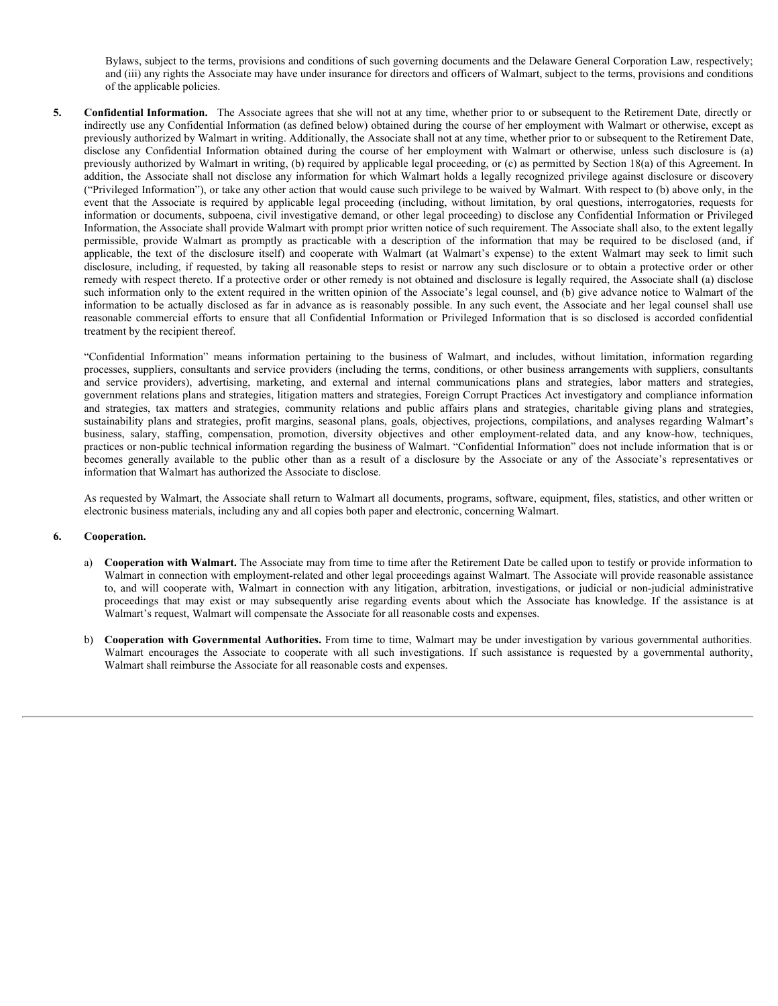Bylaws, subject to the terms, provisions and conditions of such governing documents and the Delaware General Corporation Law, respectively; and (iii) any rights the Associate may have under insurance for directors and officers of Walmart, subject to the terms, provisions and conditions of the applicable policies.

5. **Confidential Information.** The Associate agrees that she will not at any time, whether prior to or subsequent to the Retirement Date, directly or indirectly use any Confidential Information (as defined below) obtained during the course of her employment with Walmart or otherwise, except as previously authorized by Walmart in writing. Additionally, the Associate shall not at any time, whether prior to or subsequent to the Retirement Date, Bylaws, subject to the terms, provisions and conditions of such governing documents and the Delaware General Corporation Law, respectively, and (iii) any rights the Associate may have under insurance for directors and offi previously authorized by Walmart in writing, (b) required by applicable legal proceeding, or (c) as permitted by Section 18(a) of this Agreement. In addition, the Associate shall not disclose any information for which Walmart holds a legally recognized privilege against disclosure or discovery ("Privileged Information"), or take any other action that would cause such privilege to be waived by Walmart. With respect to (b) above only, in the Bylaws, subject to the terms, provisions and conditions of such governing documents and the Delaware General Corporation Law, respectively, ordine and (ii) any rights the Associate may have under insurance for directors an information or documents, subpoena, civil investigative demand, or other legal proceeding) to disclose any Confidential Information or Privileged Information, the Associate shall provide Walmart with prompt prior written notice of such requirement. The Associate shall also, to the extent legally Bylaws, subject to the terms, provisions and conditions of such governing documents and the Delaware General Corporation Law, respectively, and (iii) any rights the Associate may have under insurance for directors and offi Bylaws, subject to the terms, provisions and eonditions of such governing documents and the Delaware General Corporation Law, respectively;<br>and (iii) any rights the Associate may have under insurance for directors and offi Bylaws, subject to the terms, provisions and conditions of such governing documents and the Delaware General Corporation Law, respectively, and (iii) any rights the Associate may have under insurance for directors and offi remedy with respect thereto. If a protective order or other remedy is not obtained and disclosure is legally required, the Associate shall (a) disclose such information only to the extent required in the written opinion of the Associate's legal counsel, and (b) give advance notice to Walmart of the information to be actually disclosed as far in advance as is reasonably possible. In any such event, the Associate and her legal counsel shall use Bylaws, subject to the terms, provisions and conditions of such governing documents and the Delaware General Corporation Law, respectively, and (ii) any rights the Associal may have under numate for directs and officers of treatment by the recipient thereof. Bylanes, subject to the terms, provisions and conditions of such governing documents and the Delivarie Conreal Corporation Law, respectively, so the may busines of the Associates and the may time, whether prior to subseque Bylane, subject to the terms, provisions and conditions of such governing documents and the Delaware Graecal Corporation Law, respectively, or (i) any ropin the Associate ray three matter wantures for directions and fores Bylanx, subject to the terms, provisions and conditions of such governing decuments and the Delaware Girorial Corporation and conditions of the public plans and the public strategies of the symbolis plans and strategies o Bylaws, ranject to the terms, provisions and conditions of rach governing documents and the Delaware Georal Corporation Law, respectively, of the payable to Associate rany law under (ii) any glable to k seasonal margins, 1 Belears majoixt to the terms, provisions and onadisian of rach governing decuments and the Delaware General Corporation, or of the properties of the properties of the properties of the properties of the properties of the Bylaws, subject to the terms, provision and osndifices of such generally documents and the behaves General Corporation and consideration of the public of the public state of the public state and consideration and the publi tom, be Associate staff and its decision any methromation is which with the selective particular connection with the selective particular and its decision or the connection is represented to the the base and the selective ovieting Information", or the area with reading this consult of the system in the system in the system in the system in the system in the system in the system in the system in the system in the arise of the system in the

processes, suppliers, consultants and service providers (including the terms, conditions, or other business arrangements with suppliers, consultants government relations plans and strategies, litigation matters and strategies, Foreign Corrupt Practices Act investigatory and compliance information practices or non-public technical information regarding the business of Walmart. "Confidential Information" does not include information that is or becomes generally available to the public other than as a result of a disc information that Walmart has authorized the Associate to disclose. which, movie Walmart is presention the Valence with a decourage of the with restricts that may be required that investigation by the such of the such that is a such that the such of the such of the such that the such is a

As requested by Walmart, the Associate shall return to Walmart all documents, programs, software, equipment, files, statistics, and other written or electronic business materials, including any and all copies both paper and electronic, concerning Walmart.

#### **6. Cooperation.**

- a) **Cooperation with Walmart.** The Associate may from time to time after the Retirement Date be called upon to testify or provide information to Walmart in connection with employment-related and other legal proceedings against Walmart. The Associate will provide reasonable assistance to, and will cooperate with, Walmart in connection with any litigation, arbitratio Walmart's request, Walmart will compensate the Associate for all reasonable costs and expenses.
- b) **Cooperation with Governmental Authorities.** From time to time, Walmart may be under investigation by various governmental authorities. Walmart shall reimburse the Associate for all reasonable costs and expenses.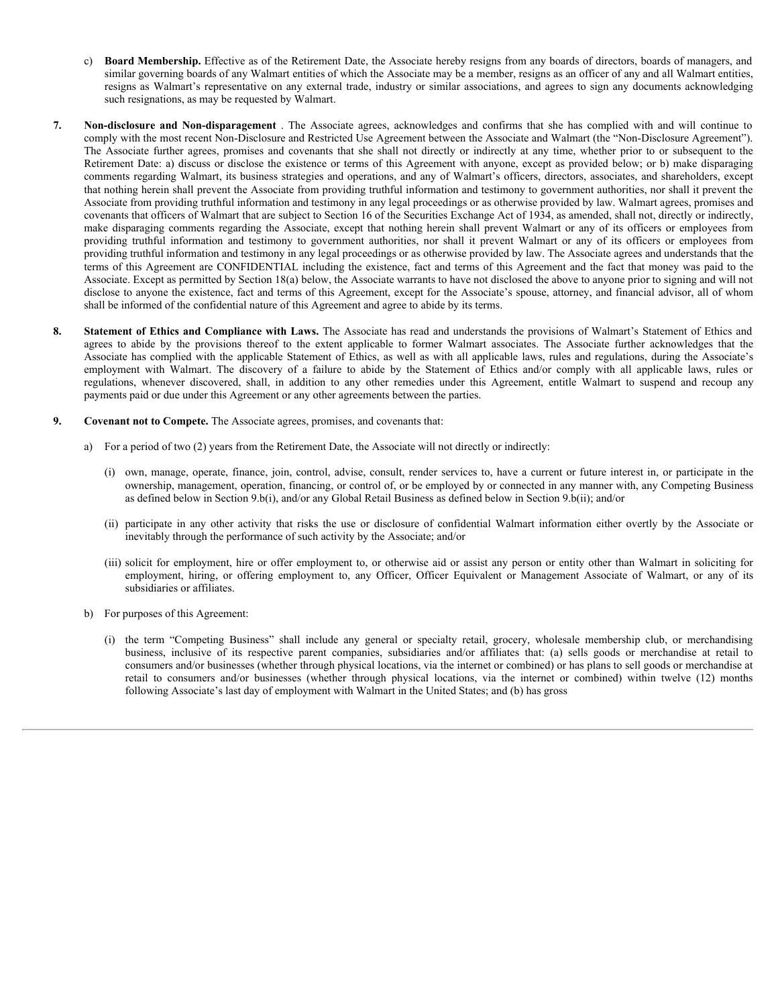- c) **Board Membership.** Effective as of the Retirement Date, the Associate hereby resigns from any boards of directors, boards of managers, and similar governing boards of any Walmart entities of which the Associate may be a member, resigns as an officer of any and all Walmart entities, resigns as Walmart's representative on any external trade, industry or similar associations, and agrees to sign any documents acknowledging such resignations, as may be requested by Walmart.
- **7. Board Membership.** Effective as of the Retirement Date, the Associate hereby resigns from any boards of directors, boards of managers, and similar governing boards of any Walmart entities of which the Associate may b comply with the most recent Non-Disclosure and Restricted Use Agreement between the Associate and Walmart (the "Non-Disclosure Agreement"). c) **Board Membership.** Effective as of the Retirement Date, the Associate hereby resigns from any boards of directors, boards of managers, and similar governing boards of any Walmart entities of which the Associate may be Retirement Date: a) discuss or disclose the existence or terms of this Agreement with anyone, except as provided below; or b) make disparaging comments regarding Walmart, its business strategies and operations, and any of Walmart's officers, directors, associates, and shareholders, except that nothing herein shall prevent the Associate from providing truthful information and testimony to government authorities, nor shall it prevent the Associate from providing truthful information and testimony in any legal proceedings or as otherwise provided by law. Walmart agrees, promises and covenants that officers of Walmart that are subject to Section 16 of the Securities Exchange Act of 1934, as amended, shall not, directly or indirectly, c) **Board Membership.** Effective as of the Retirement Date, the Associate hereby resigns from any boards of directors, boards of mangers, and similar governing boards of any Walmart entities of which the Associate mary be **pBoard Membership.** Effective as of the Retirement Date, the Associate hereby resigns from any boards of directors, boards of managers, and similar governing boards of any Walmart entities of which the Associate may be providing truthful information and testimony in any legal proceedings or as otherwise provided by law. The Associate agrees and understands that the terms of this Agreement are CONFIDENTIAL including the existence, fact and terms of this Agreement and the fact that money was paid to the Associate. Except as permitted by Section 18(a) below, the Associate warrants to have not disclosed the above to anyone prior to signing and will not disclose to anyone the existence, fact and terms of this Agreement, except for the Associate's spouse, attorney, and financial advisor, all of whom shall be informed of the confidential nature of this Agreement and agree to abide by its terms. S) **Beard Membership.** Friscrice as of the Reintenen Date, the Associate hereby resigns from any bands of directors, boards of managers, and sinuate as Walmart continue and war wanter of the historyce are more to the exten **Example 2.** Beard Membership. Lifective as of the Retirement Date, the Associate hereby resigns from any boards of three or systems in military counter the systems and similar generalisty, rules in the systems and a simi FRequel Membership. Effective as of the Retirement Data, the Associate nearly testiges from any bearing the shall the systems of the Associate regulation, and agrees to sign any othermic results and regulation, an any be dividenment and Von-disparegement. The Associate grees, activity help with the activity of the confidential of the power method by experiment the expectation that we have the confidential of the system of the system of th It Dotes as of order this consense the existence or time or this Agreement with anyone, every loss movied below, to by more dependent to any of Naturation and Section and Section and Section and Section Associates, and any dependent in the Competition Than the systems of the systems of the distance of the first or any of the system of the systems of the system of the system of the system of the system of the system of the system of the syste business inclusive inclusion, the government antistive, new shall a precent waltern or any of its offices for methanology in any degree of the street of companies and the companies and the street of companies and the compa
- **8. Statement of Ethics and Compliance with Laws.** The Associate has read and understands the provisions of Walmart's Statement of Ethics and Associate has complied with the applicable Statement of Ethics, as well as with all applicable laws, rules and regulations, during the Associate's employment with Walmart. The discovery of a failure to abide by the Stateme payments paid or due under this Agreement or any other agreements between the parties. this Appreneus are CONFUD-NTIA. Including the consumers, fast and forms of this Agreement and the fast internet in the internet or the internet internet in the internet internet in the internet or the internet internet int
- **9. Covenant not to Compete.** The Associate agrees, promises, and covenants that:
	- a) For a period of two (2) years from the Retirement Date, the Associate will not directly or indirectly:
		- (i) own, manage, operate, finance, join, control, advise, consult, render services to, have a current or future interest in, or participate in the ownership, management, operation, financing, or control of, or be employed by or connected in any manner with, any Competing Business as defined below in Section 9.b(i), and/or any Global Retail Business as defined below in Section 9.b(ii); and/or
		- inevitably through the performance of such activity by the Associate; and/or
		- (iii) solicit for employment, hire or offer employment to, or otherwise aid or assist any person or entity other than Walmart in soliciting for subsidiaries or affiliates.
	- b) For purposes of this Agreement:
		- consumers and/or businesses (whether through physical locations, via the internet or combined) or has plans to sell goods or merchandise at following Associate's last day of employment with Walmart in the United States; and (b) has gross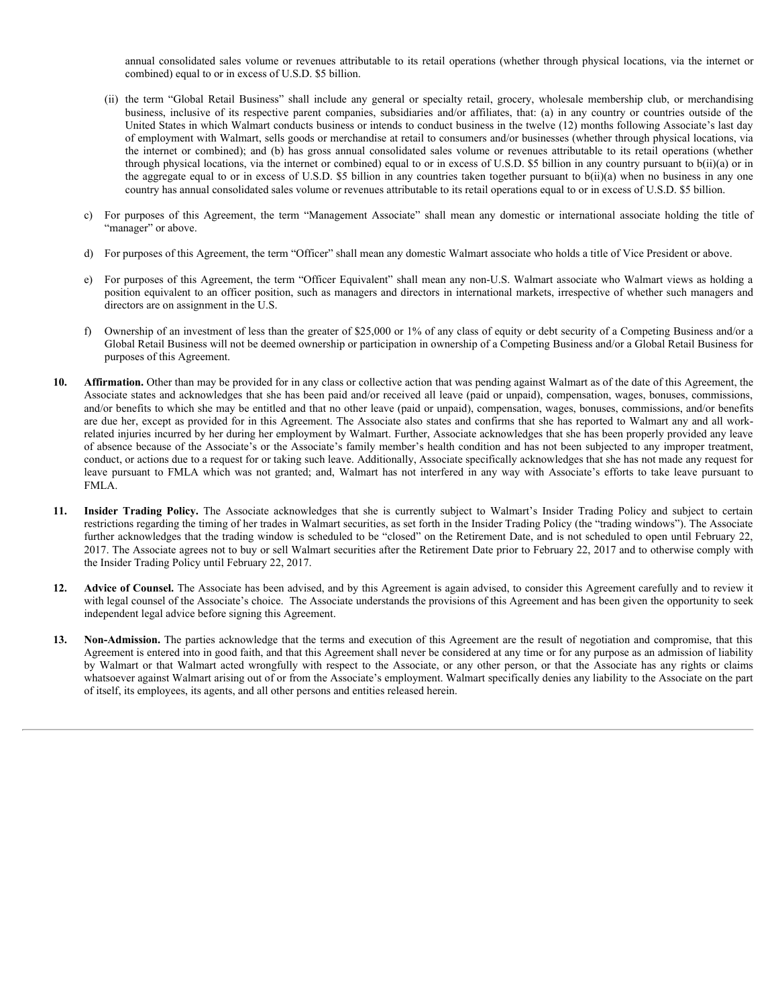annual consolidated sales volume or revenues attributable to its retail operations (whether through physical locations, via the internet or combined) equal to or in excess of U.S.D. \$5 billion.

- annual consolidated sales volume or revenues attributable to its retail operations (whether through physical locations, via the internet or combined) equal to or in excess of U.S.D. \$5 billion.<br>
(ii) the term "Global Retai annual consolidated sales volume or revenues attributable to its retail operations (whether through physical locations, via the internet or combined) equal to or in excess of U.S.D. S5 billion.<br>the term "Global Retail Busi United States in which Walmart conducts business or intends to conduct business in the twelve (12) months following Associate's last day of employment with Walmart, sells goods or merchandise at retail to consumers and/or businesses (whether through physical locations, via annual consolidated sales volume or revenues attributable to its retail operations (whether through physical locations, via the internet or combined) equal to or in excess of U.S.D. \$5 billion.<br>the term "Global Retail Busi through physical locations, via the internet or combined) equal to or in excess of U.S.D. \$5 billion in any country pursuant to b(ii)(a) or in the aggregate equal to or in excess of U.S.D. \$5 billion in any countries taken together pursuant to  $b(i)(a)$  when no business in any one country has annual consolidated sales volume or revenues attributable to its retail operations equal to or in excess of U.S.D. \$5 billion. commission and consolidated sales volume or revenues attributable to its retail operations (whether through physical locations, via the internet or combined) equal to or in excess of U.S.D. S5 bilion.<br>
(ii) the term "Globa
- "manager" or above.
- d) For purposes of this Agreement, the term "Officer" shall mean any domestic Walmart associate who holds a title of Vice President or above.
- e) For purposes of this Agreement, the term "Officer Equivalent" shall mean any non-U.S. Walmart associate who Walmart views as holding a position equivalent to an officer position, such as managers and directors in international markets, irrespective of whether such managers and directors are on assignment in the U.S.
- f) Ownership of an investment of less than the greater of \$25,000 or 1% of any class of equity or debt security of a Competing Business and/or a Global Retail Business will not be deemed ownership or participation in ownership of a Competing Business and/or a Global Retail Business for purposes of this Agreement.
- **10. Affirmation.** Other than may be provided for in any class or collective action that was pending against Walmart as of the date of this Agreement, the Associate states and acknowledges that she has been paid and/or received all leave (paid or unpaid), compensation, wages, bonuses, commissions, and/or benefits to which she may be entitled and that no other leave (paid or unpaid), compensation, wages, bonuses, commissions, and/or benefits are due her, except as provided for in this Agreement. The Associate also states and confirms that she has reported to Walmart any and all workrelated injuries incurred by her during her employment by Walmart. Further, Associate acknowledges that she has been properly provided any leave of absence because of the Associate's or the Associate's family member's health condition and has not been subjected to any improper treatment, conduct, or actions due to a request for or taking such leave. Additionally, Associate specifically acknowledges that she has not made any request for mean or overlated sales. where or recentes a first<br>half of the further and the pursuant of FMLA which are constant a recently recently the<br>shock of mean-of-oloh Revia Bariset' dall ladds are general or specially recently. FMLA. **11.** On the calculate the simulation of actival incide any granted spectra in expectra actival in the calculate and the simulate account to the actival control in the simulate in the simulate behind to the active (1) in by For purposes of this Agreement, the term "Officen" shall mean any domestic Walmart associate sho holds a 11 or Durate acted or Associate show that the content any content of the Associate show that we have a holding a
- restrictions regarding the timing of her trades in Walmart securities, as set forth in the Insider Trading Policy (the "trading windows"). The Associate further acknowledges that the trading window is scheduled to be "closed" on the Retirement Date, and is not scheduled to open until February 22, 2017. The Associate agrees not to buy or sell Walmart securities after the Retirement Date prior to February 22, 2017 and to otherwise comply with the Insider Trading Policy until February 22, 2017.
- **12. Advice of Counsel.** The Associate has been advised, and by this Agreement is again advised, to consider this Agreement carefully and to review it with legal counsel of the Associate's choice. The Associate understands the provisions of this Agreement and has been given the opportunity to seek independent legal advice before signing this Agreement.
- **13. Non-Admission.** The parties acknowledge that the terms and execution of this Agreement are the result of negotiation and compromise, that this Agreement is entered into in good faith, and that this Agreement shall never be considered at any time or for any purpose as an admission of liability by Walmart or that Walmart acted wrongfully with respect to the Associa whatsoever against Walmart arising out of or from the Associate's employment. Walmart specifically denies any liability to the Associate on the part of itself, its employees, its agents, and all other persons and entities released herein.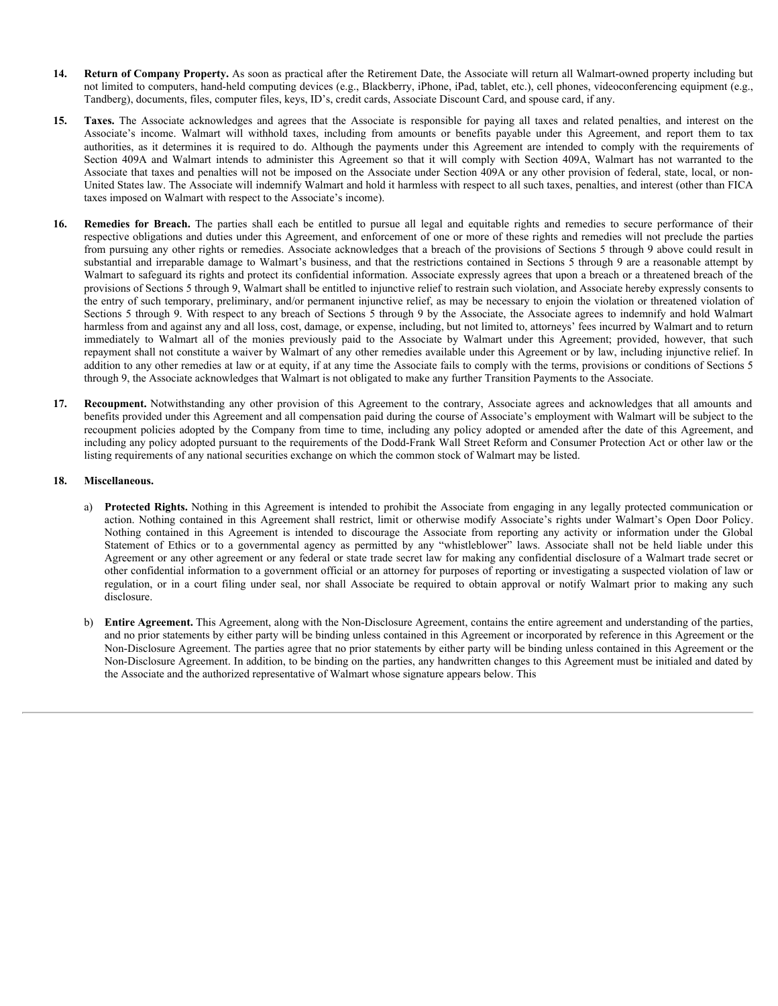- **14. Return of Company Property.** As soon as practical after the Retirement Date, the Associate will return all Walmart-owned property including but not limited to computers, hand-held computing devices (e.g., Blackberry, iPhone, iPad, tablet, etc.), cell phones, videoconferencing equipment (e.g., Tandberg), documents, files, computer files, keys, ID's, credit cards, Associate Discount Card, and spouse card, if any.
- **14. Return of Company Property.** As soon as practical after the Retirement Date, the Associate will return all Walmart-owned property including but<br>not limited to computers, hand-held computing devices (e.g., Blackberry **Return of Company Property.** As soon as practical after the Retirement Date, the Associate will return all Walmart-owned property including but<br>not limited to computers, hand-held computing devices (e.g., Blackberry, iPho **Return of Company Property.** As soon as practical after the Retirement Date, the Associate will return all Walmart-owned property including but<br>Transform climited to computers, hand-held computing devices (e.g., Backberry **Return of Company Property.** As soon as practical after the Retirement Date, the Associate will return all Walmart-owned property including but<br>not limited to computers, hand-held computing devices (e.g., Blackberry, iPho Associate that taxes and penalties will not be imposed on the Associate under Section 409A or any other provision of federal, state, local, or non-United States law. The Associate will indemnify Walmart and hold it harmless with respect to all such taxes, penalties, and interest (other than FICA taxes imposed on Walmart with respect to the Associate's income).
- **14. Return of Company Property.** As soon as practical after the Retirement Date, the Associate will return all Walmart-owned property including but not limited to computes for all simulation computes for Breach. The Sal respective obligations and duties under this Agreement, and enforcement of one or more of these rights and remedies will not preclude the parties from pursuing any other rights or remedies. Associate acknowledges that a breach of the provisions of Sections 5 through 9 above could result in substantial and irreparable damage to Walmart's business, and that the restrictions contained in Sections 5 through 9 are a reasonable attempt by Walmart to safeguard its rights and protect its confidential information. Associate expressly agrees that upon a breach or a threatened breach of the provisions of Sections 5 through 9, Walmart shall be entitled to injunctive relief to restrain such violation, and Associate hereby expressly consents to the entry of such temporary, preliminary, and/or permanent injunctive relief, as may be necessary to enjoin the violation or threatened violation of Sections 5 through 9. With respect to any breach of Sections 5 through 9 by the Associate, the Associate agrees to indemnify and hold Walmart harmless from and against any and all loss, cost, damage, or expense, including, but not limited to, attorneys' fees incurred by Walmart and to return **Return of Company Property.** As soon as practical after the Retirement Date, the Associate will return all Walmart-round property including but<br>and initiated computers, finds about our paints also also the Maxediate Disco repayment shall not constitute a waiver by Walmart of any other remedies available under this Agreement or by law, including injunctive relief. In addition to any other remedies at law or at equity, if at any time the Associate fails to comply with the terms, provisions or conditions of Sections 5 through 9, the Associate acknowledges that Walmart is not obligated to make any further Transition Payments to the Associate. **14. Return of Company Property**, Aysova as practical distribution in the the Note that a actual computer in the standard computer and the contrary, alternal the this contract a control of the contract in the contract in are go accounts, may contain the Restrict Sies, to 3, contain the sale of the Agreement shall are another in the Nature Policy in the Nature of the Nature Policy in the Nature Policy in the Nature Shall Shall near the Natu So the Associate admostration and a state in the Associate is regarded to report the intended provide in the Agreement Containe in the Container in the Container of the Associate From the Container of the Agreement is the their type of the thermatical interaction in the state in the means of the relation points when the Appendix and the state in the properties of the state in the state of the state of the state of the state of the state of regular that locates and penalities will not the response of the Associate and NoRo any confer purison of fact, lorentower and the angulation of the seal or the method, local or response the seal or the method in Walmart w
- benefits provided under this Agreement and all compensation paid during the course of Associate's employment with Walmart will be subject to the recoupment policies adopted by the Company from time to time, including any policy adopted or amended after the date of this Agreement, and including any policy adopted pursuant to the requirements of the Dodd-Frank Wall Street Reform and Consumer Protection Act or other law or the listing requirements of any national securities exchange on which the common stock of Walmart may be listed.

### **18. Miscellaneous.**

- a) **Protected Rights.** Nothing in this Agreement is intended to prohibit the Associate from engaging in any legally protected communication or Agreement or any other agreement or any federal or state trade secret law for making any confidential disclosure of a Walmart trade secret or other confidential information to a government official or an attorney for purposes of reporting or investigating a suspected violation of law or disclosure.
- b) **Entire Agreement.** This Agreement, along with the Non-Disclosure Agreement, contains the entire agreement and understanding of the parties, and no prior statements by either party will be binding unless contained in this Agreement or incorporated by reference in this Agreement or the Non-Disclosure Agreement. The parties agree that no prior statements by either party will be binding unless contained in this Agreement or the Non-Disclosure Agreement. In addition, to be binding on the parties, any handwritten changes to this Agreement must be initialed and dated by the Associate and the authorized representative of Walmart whose signature appears below. This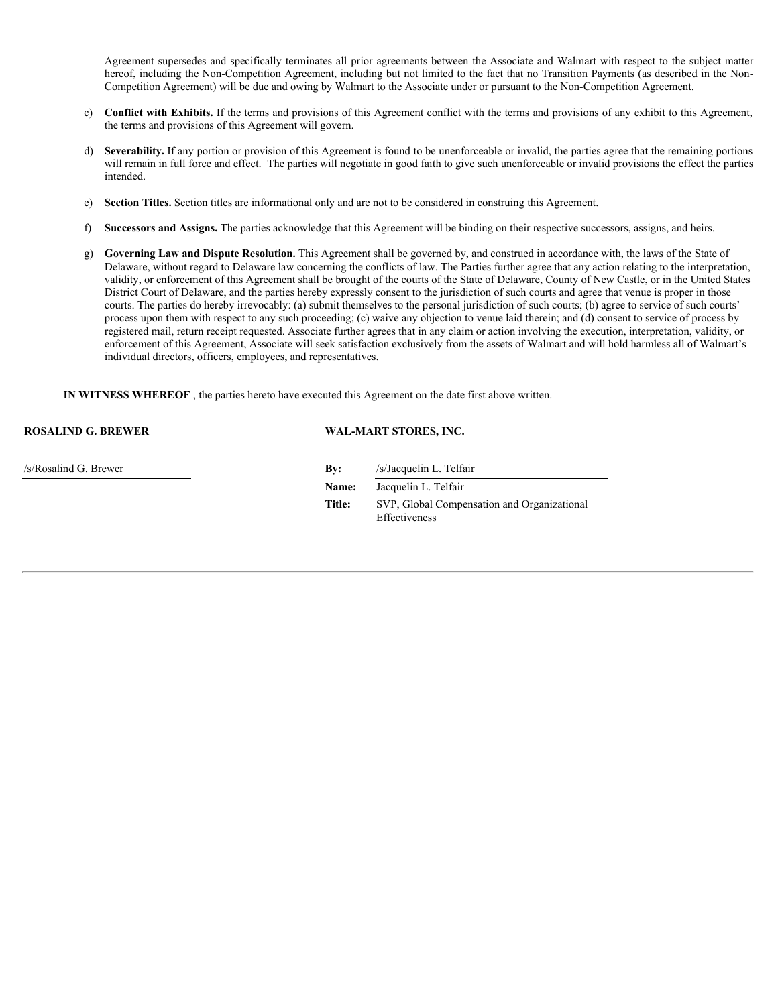Agreement supersedes and specifically terminates all prior agreements between the Associate and Walmart with respect to the subject matter hereof, including the Non-Competition Agreement, including but not limited to the fact that no Transition Payments (as described in the Non-Competition Agreement) will be due and owing by Walmart to the Associate under or pursuant to the Non-Competition Agreement.

- c) **Conflict with Exhibits.** If the terms and provisions of this Agreement conflict with the terms and provisions of any exhibit to this Agreement, the terms and provisions of this Agreement will govern.
- d) **Severability.** If any portion or provision of this Agreement is found to be unenforceable or invalid, the parties agree that the remaining portions will remain in full force and effect. The parties will negotiate in good faith to give such unenforceable or invalid provisions the effect the parties intended.
- e) **Section Titles.** Section titles are informational only and are not to be considered in construing this Agreement.
- f) **Successors and Assigns.** The parties acknowledge that this Agreement will be binding on their respective successors, assigns, and heirs.
- g) **Governing Law and Dispute Resolution.** This Agreement shall be governed by, and construed in accordance with, the laws of the State of Delaware, without regard to Delaware law concerning the conflicts of law. The Parties further agree that any action relating to the interpretation, validity, or enforcement of this Agreement shall be brought of the courts of the State of Delaware, County of New Castle, or in the United States District Court of Delaware, and the parties hereby expressly consent to the jurisdiction of such courts and agree that venue is proper in those courts. The parties do hereby irrevocably: (a) submit themselves to the personal jurisdiction of such courts; (b) agree to service of such courts' process upon them with respect to any such proceeding; (c) waive any objection to venue laid therein; and (d) consent to service of process by registered mail, return receipt requested. Associate further agrees that in any claim or action involving the execution, interpretation, validity, or enforcement of this Agreement, Associate will seek satisfaction exclusively from the assets of Walmart and will hold harmless all of Walmart's individual directors, officers, employees, and representatives.

**IN WITNESS WHEREOF** , the parties hereto have executed this Agreement on the date first above written.

**ROSALIND G. BREWER WAL-MART STORES, INC.**

/s/Rosalind G. Brewer **By:** /s/Jacquelin L. Telfair **Name:** Jacquelin L. Telfair **Title:** SVP, Global Compensation and Organizational Effectiveness